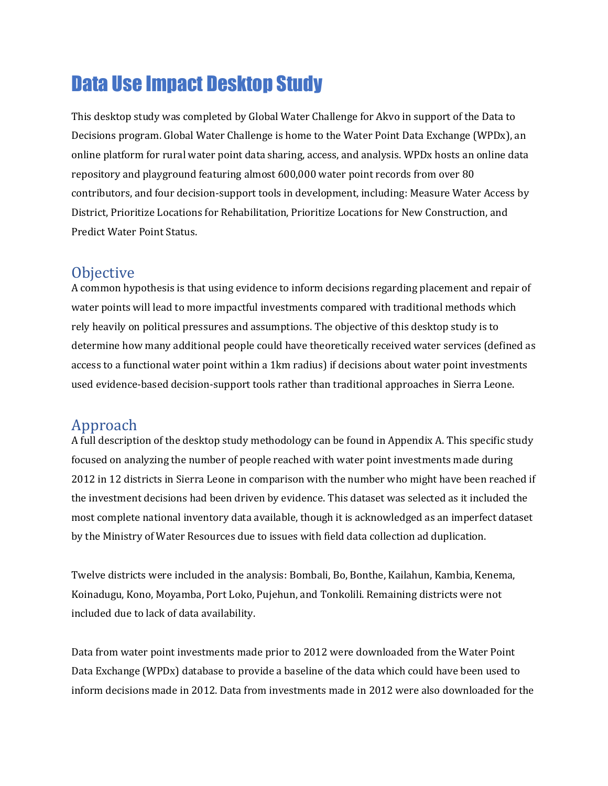# Data Use Impact Desktop Study

This desktop study was completed by Global Water Challenge for Akvo in support of the Data to Decisions program. Global Water Challenge is home to the Water Point Data Exchange (WPDx), an online platform for rural water point data sharing, access, and analysis. WPDx hosts an online data repository and playground featuring almost 600,000 water point records from over 80 contributors, and four decision-support tools in development, including: Measure Water Access by District, Prioritize Locations for Rehabilitation, Prioritize Locations for New Construction, and Predict Water Point Status.

### **Objective**

A common hypothesis is that using evidence to inform decisions regarding placement and repair of water points will lead to more impactful investments compared with traditional methods which rely heavily on political pressures and assumptions. The objective of this desktop study is to determine how many additional people could have theoretically received water services (defined as access to a functional water point within a 1km radius) if decisions about water point investments used evidence-based decision-support tools rather than traditional approaches in Sierra Leone.

## Approach

A full description of the desktop study methodology can be found in Appendix A. This specific study focused on analyzing the number of people reached with water point investments made during 2012 in 12 districts in Sierra Leone in comparison with the number who might have been reached if the investment decisions had been driven by evidence. This dataset was selected as it included the most complete national inventory data available, though it is acknowledged as an imperfect dataset by the Ministry of Water Resources due to issues with field data collection ad duplication.

Twelve districts were included in the analysis: Bombali, Bo, Bonthe, Kailahun, Kambia, Kenema, Koinadugu, Kono, Moyamba, Port Loko, Pujehun, and Tonkolili. Remaining districts were not included due to lack of data availability.

Data from water point investments made prior to 2012 were downloaded from the Water Point Data Exchange (WPDx) database to provide a baseline of the data which could have been used to inform decisions made in 2012. Data from investments made in 2012 were also downloaded for the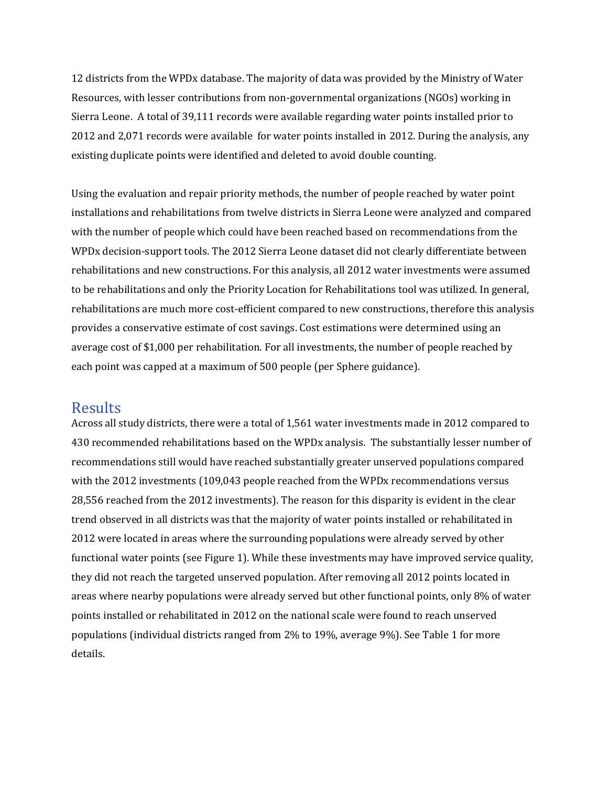12 districts from the WPDx database. The majority of data was provided by the Ministry of Water Resources, with lesser contributions from non-governmental organizations (NGOs) working in Sierra Leone. A total of 39,111 records were available regarding water points installed prior to 2012 and 2,071 records were available for water points installed in 2012. During the analysis, any existing duplicate points were identified and deleted to avoid double counting.

Using the evaluation and repair priority methods, the number of people reached by water point installations and rehabilitations from twelve districts in Sierra Leone were analyzed and compared with the number of people which could have been reached based on recommendations from the WPDx decision-support tools. The 2012 Sierra Leone dataset did not clearly differentiate between rehabilitations and new constructions. For this analysis, all 2012 water investments were assumed to be rehabilitations and only the Priority Location for Rehabilitations tool was utilized. In general, rehabilitations are much more cost-efficient compared to new constructions, therefore this analysis provides a conservative estimate of cost savings. Cost estimations were determined using an average cost of \$1,000 per rehabilitation. For all investments, the number of people reached by each point was capped at a maximum of 500 people (per Sphere guidance).

#### **Results**

Across all study districts, there were a total of 1,561 water investments made in 2012 compared to 430 recommended rehabilitations based on the WPDx analysis. The substantially lesser number of recommendations still would have reached substantially greater unserved populations compared with the 2012 investments (109,043 people reached from the WPDx recommendations versus 28,556 reached from the 2012 investments). The reason for this disparity is evident in the clear trend observed in all districts was that the majority of water points installed or rehabilitated in 2012 were located in areas where the surrounding populations were already served by other functional water points (see Figure 1). While these investments may have improved service quality, they did not reach the targeted unserved population. After removing all 2012 points located in areas where nearby populations were already served but other functional points, only 8% of water points installed or rehabilitated in 2012 on the national scale were found to reach unserved populations (individual districts ranged from 2% to 19%, average 9%). See Table 1 for more details.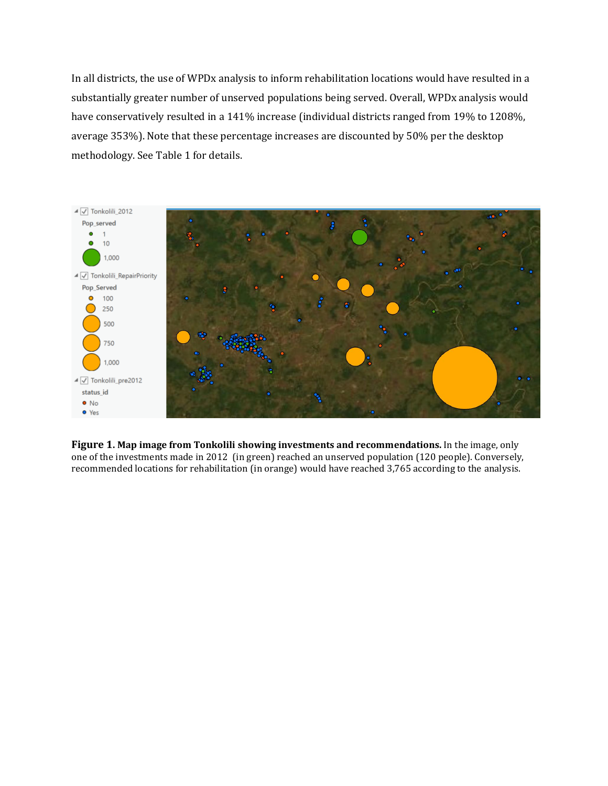In all districts, the use of WPDx analysis to inform rehabilitation locations would have resulted in a substantially greater number of unserved populations being served. Overall, WPDx analysis would have conservatively resulted in a 141% increase (individual districts ranged from 19% to 1208%, average 353%). Note that these percentage increases are discounted by 50% per the desktop methodology. See Table 1 for details.



**Figure 1. Map image from Tonkolili showing investments and recommendations.** In the image, only one of the investments made in 2012 (in green) reached an unserved population (120 people). Conversely, recommended locations for rehabilitation (in orange) would have reached 3,765 according to the analysis.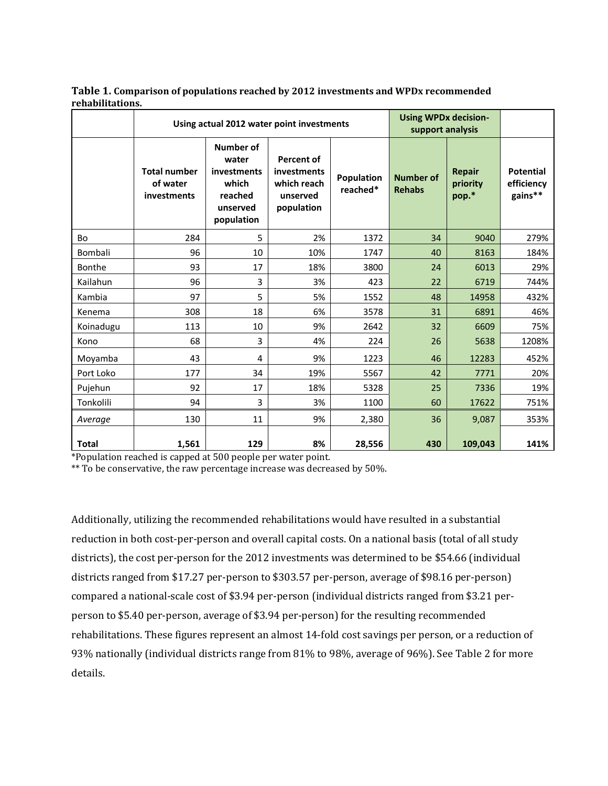|              |                                                | Using actual 2012 water point investments                                       | <b>Using WPDx decision-</b><br>support analysis                           |                        |                                   |                                    |                                           |
|--------------|------------------------------------------------|---------------------------------------------------------------------------------|---------------------------------------------------------------------------|------------------------|-----------------------------------|------------------------------------|-------------------------------------------|
|              | <b>Total number</b><br>of water<br>investments | Number of<br>water<br>investments<br>which<br>reached<br>unserved<br>population | <b>Percent of</b><br>investments<br>which reach<br>unserved<br>population | Population<br>reached* | <b>Number of</b><br><b>Rehabs</b> | <b>Repair</b><br>priority<br>pop.* | <b>Potential</b><br>efficiency<br>gains** |
| <b>Bo</b>    | 284                                            | 5                                                                               | 2%                                                                        | 1372                   | 34                                | 9040                               | 279%                                      |
| Bombali      | 96                                             | 10                                                                              | 10%                                                                       | 1747                   | 40                                | 8163                               | 184%                                      |
| Bonthe       | 93                                             | 17                                                                              | 18%                                                                       | 3800                   | 24                                | 6013                               | 29%                                       |
| Kailahun     | 96                                             | 3                                                                               | 3%                                                                        | 423                    | 22                                | 6719                               | 744%                                      |
| Kambia       | 97                                             | 5                                                                               | 5%                                                                        | 1552                   | 48                                | 14958                              | 432%                                      |
| Kenema       | 308                                            | 18                                                                              | 6%                                                                        | 3578                   | 31                                | 6891                               | 46%                                       |
| Koinadugu    | 113                                            | 10                                                                              | 9%                                                                        | 2642                   | 32                                | 6609                               | 75%                                       |
| Kono         | 68                                             | 3                                                                               | 4%                                                                        | 224                    | 26                                | 5638                               | 1208%                                     |
| Moyamba      | 43                                             | 4                                                                               | 9%                                                                        | 1223                   | 46                                | 12283                              | 452%                                      |
| Port Loko    | 177                                            | 34                                                                              | 19%                                                                       | 5567                   | 42                                | 7771                               | 20%                                       |
| Pujehun      | 92                                             | 17                                                                              | 18%                                                                       | 5328                   | 25                                | 7336                               | 19%                                       |
| Tonkolili    | 94                                             | 3                                                                               | 3%                                                                        | 1100                   | 60                                | 17622                              | 751%                                      |
| Average      | 130                                            | 11                                                                              | 9%                                                                        | 2,380                  | 36                                | 9,087                              | 353%                                      |
| <b>Total</b> | 1,561                                          | 129                                                                             | 8%                                                                        | 28,556                 | 430                               | 109,043                            | 141%                                      |

**Table 1. Comparison of populations reached by 2012 investments and WPDx recommended rehabilitations.**

\*Population reached is capped at 500 people per water point.

\*\* To be conservative, the raw percentage increase was decreased by 50%.

Additionally, utilizing the recommended rehabilitations would have resulted in a substantial reduction in both cost-per-person and overall capital costs. On a national basis (total of all study districts), the cost per-person for the 2012 investments was determined to be \$54.66 (individual districts ranged from \$17.27 per-person to \$303.57 per-person, average of \$98.16 per-person) compared a national-scale cost of \$3.94 per-person (individual districts ranged from \$3.21 perperson to \$5.40 per-person, average of \$3.94 per-person) for the resulting recommended rehabilitations. These figures represent an almost 14-fold cost savings per person, or a reduction of 93% nationally (individual districts range from 81% to 98%, average of 96%). See Table 2 for more details.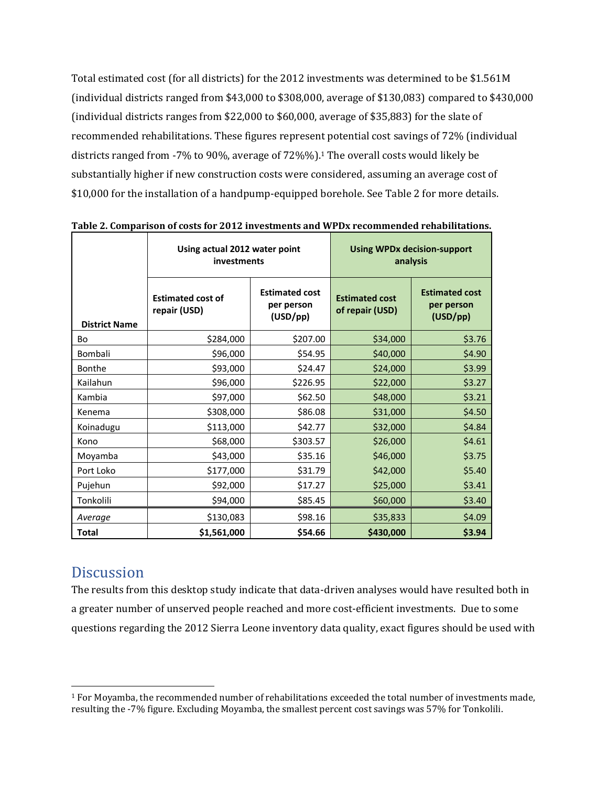Total estimated cost (for all districts) for the 2012 investments was determined to be \$1.561M (individual districts ranged from \$43,000 to \$308,000, average of \$130,083) compared to \$430,000 (individual districts ranges from \$22,000 to \$60,000, average of \$35,883) for the slate of recommended rehabilitations. These figures represent potential cost savings of 72% (individual districts ranged from -7% to 90%, average of 72%%).<sup>1</sup> The overall costs would likely be substantially higher if new construction costs were considered, assuming an average cost of \$10,000 for the installation of a handpump-equipped borehole. See Table 2 for more details.

|                      | Using actual 2012 water point<br>investments |                                                 | <b>Using WPDx decision-support</b><br>analysis |                                                 |  |  |
|----------------------|----------------------------------------------|-------------------------------------------------|------------------------------------------------|-------------------------------------------------|--|--|
| <b>District Name</b> | <b>Estimated cost of</b><br>repair (USD)     | <b>Estimated cost</b><br>per person<br>(USD/pp) | <b>Estimated cost</b><br>of repair (USD)       | <b>Estimated cost</b><br>per person<br>(USD/pp) |  |  |
| <b>Bo</b>            | \$284,000                                    | \$207.00                                        | \$34,000                                       | \$3.76                                          |  |  |
| Bombali              | \$96,000                                     | \$54.95                                         | \$40,000                                       | \$4.90                                          |  |  |
| Bonthe               | \$93,000                                     | \$24.47                                         | \$24,000                                       | \$3.99                                          |  |  |
| Kailahun             | \$96,000                                     | \$226.95                                        | \$22,000                                       | \$3.27                                          |  |  |
| Kambia               | \$97,000                                     | \$62.50                                         | \$48,000                                       | \$3.21                                          |  |  |
| Kenema               | \$308,000                                    | \$86.08                                         | \$31,000                                       | \$4.50                                          |  |  |
| Koinadugu            | \$113,000                                    | \$42.77                                         | \$32,000                                       | \$4.84                                          |  |  |
| Kono                 | \$68,000                                     | \$303.57                                        | \$26,000                                       | \$4.61                                          |  |  |
| Moyamba              | \$43,000                                     | \$35.16                                         | \$46,000                                       | \$3.75                                          |  |  |
| Port Loko            | \$177,000                                    | \$31.79                                         | \$42,000                                       | \$5.40                                          |  |  |
| Pujehun              | \$92,000                                     | \$17.27                                         | \$25,000                                       | \$3.41                                          |  |  |
| Tonkolili            | \$94,000                                     | \$85.45                                         | \$60,000                                       | \$3.40                                          |  |  |
| Average              | \$130,083                                    | \$98.16                                         | \$35,833                                       | \$4.09                                          |  |  |
| <b>Total</b>         | \$1,561,000                                  | \$54.66                                         | \$430,000                                      | \$3.94                                          |  |  |

**Table 2. Comparison of costs for 2012 investments and WPDx recommended rehabilitations.**

#### **Discussion**

The results from this desktop study indicate that data-driven analyses would have resulted both in a greater number of unserved people reached and more cost-efficient investments. Due to some questions regarding the 2012 Sierra Leone inventory data quality, exact figures should be used with

<sup>1</sup> For Moyamba, the recommended number of rehabilitations exceeded the total number of investments made, resulting the -7% figure. Excluding Moyamba, the smallest percent cost savings was 57% for Tonkolili.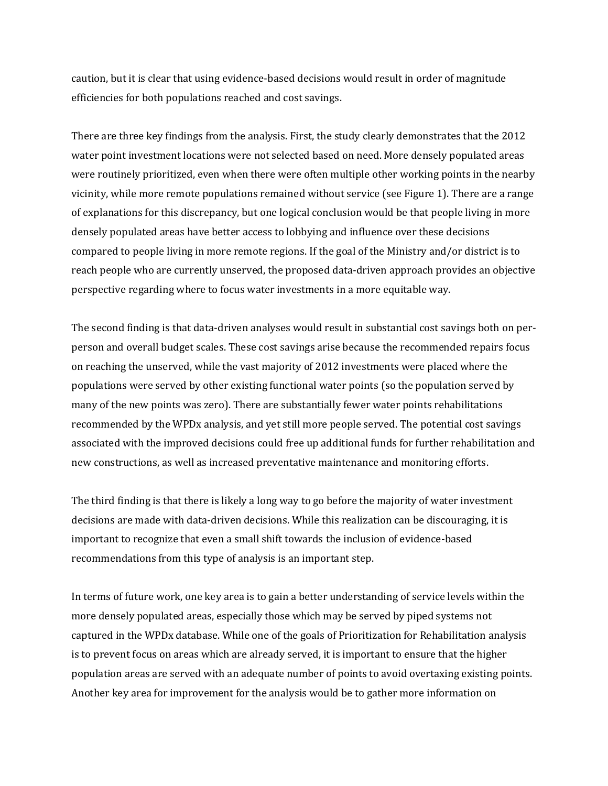caution, but it is clear that using evidence-based decisions would result in order of magnitude efficiencies for both populations reached and cost savings.

There are three key findings from the analysis. First, the study clearly demonstrates that the 2012 water point investment locations were not selected based on need. More densely populated areas were routinely prioritized, even when there were often multiple other working points in the nearby vicinity, while more remote populations remained without service (see Figure 1). There are a range of explanations for this discrepancy, but one logical conclusion would be that people living in more densely populated areas have better access to lobbying and influence over these decisions compared to people living in more remote regions. If the goal of the Ministry and/or district is to reach people who are currently unserved, the proposed data-driven approach provides an objective perspective regarding where to focus water investments in a more equitable way.

The second finding is that data-driven analyses would result in substantial cost savings both on perperson and overall budget scales. These cost savings arise because the recommended repairs focus on reaching the unserved, while the vast majority of 2012 investments were placed where the populations were served by other existing functional water points (so the population served by many of the new points was zero). There are substantially fewer water points rehabilitations recommended by the WPDx analysis, and yet still more people served. The potential cost savings associated with the improved decisions could free up additional funds for further rehabilitation and new constructions, as well as increased preventative maintenance and monitoring efforts.

The third finding is that there is likely a long way to go before the majority of water investment decisions are made with data-driven decisions. While this realization can be discouraging, it is important to recognize that even a small shift towards the inclusion of evidence-based recommendations from this type of analysis is an important step.

In terms of future work, one key area is to gain a better understanding of service levels within the more densely populated areas, especially those which may be served by piped systems not captured in the WPDx database. While one of the goals of Prioritization for Rehabilitation analysis is to prevent focus on areas which are already served, it is important to ensure that the higher population areas are served with an adequate number of points to avoid overtaxing existing points. Another key area for improvement for the analysis would be to gather more information on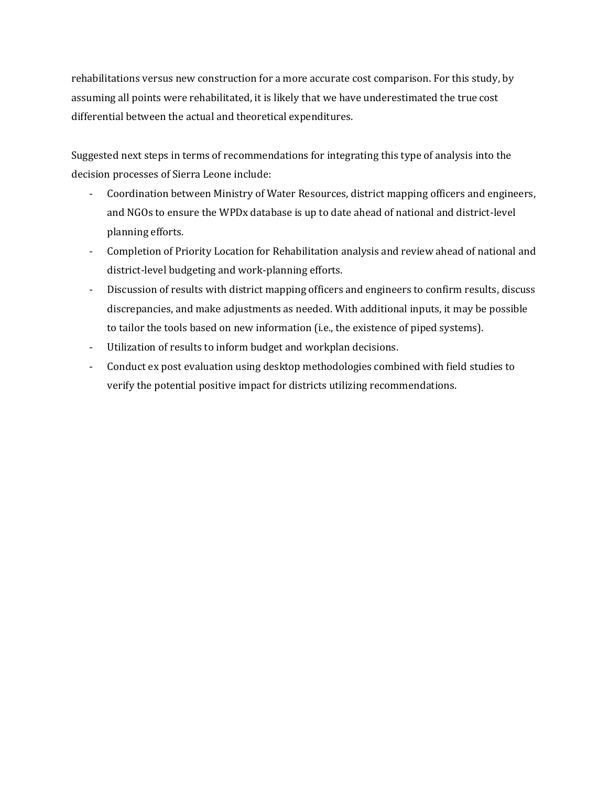rehabilitations versus new construction for a more accurate cost comparison. For this study, by assuming all points were rehabilitated, it is likely that we have underestimated the true cost differential between the actual and theoretical expenditures.

Suggested next steps in terms of recommendations for integrating this type of analysis into the decision processes of Sierra Leone include:

- Coordination between Ministry of Water Resources, district mapping officers and engineers, and NGOs to ensure the WPDx database is up to date ahead of national and district-level planning efforts.
- Completion of Priority Location for Rehabilitation analysis and review ahead of national and district-level budgeting and work-planning efforts.
- Discussion of results with district mapping officers and engineers to confirm results, discuss discrepancies, and make adjustments as needed. With additional inputs, it may be possible to tailor the tools based on new information (i.e., the existence of piped systems).
- Utilization of results to inform budget and workplan decisions.
- Conduct ex post evaluation using desktop methodologies combined with field studies to verify the potential positive impact for districts utilizing recommendations.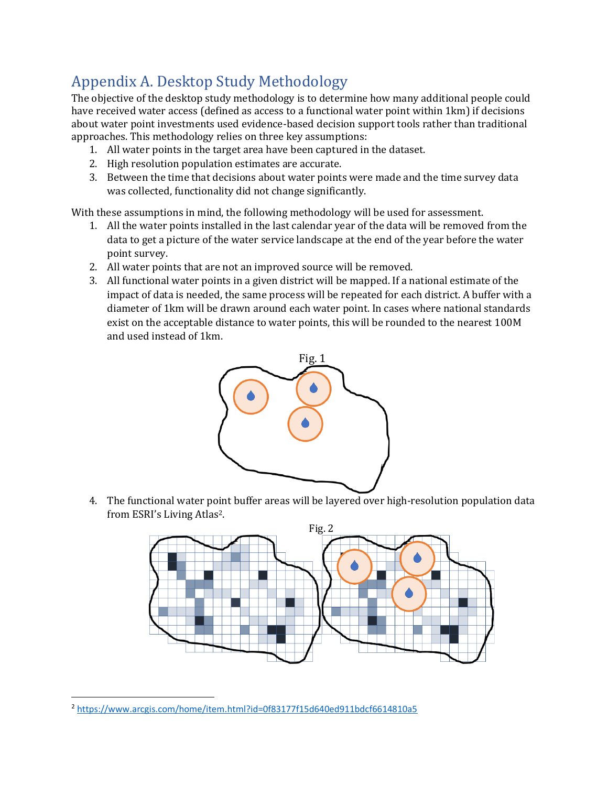# Appendix A. Desktop Study Methodology

The objective of the desktop study methodology is to determine how many additional people could have received water access (defined as access to a functional water point within 1km) if decisions about water point investments used evidence-based decision support tools rather than traditional approaches. This methodology relies on three key assumptions:

- 1. All water points in the target area have been captured in the dataset.
- 2. High resolution population estimates are accurate.
- 3. Between the time that decisions about water points were made and the time survey data was collected, functionality did not change significantly.

With these assumptions in mind, the following methodology will be used for assessment.

- 1. All the water points installed in the last calendar year of the data will be removed from the data to get a picture of the water service landscape at the end of the year before the water point survey.
- 2. All water points that are not an improved source will be removed.
- 3. All functional water points in a given district will be mapped. If a national estimate of the impact of data is needed, the same process will be repeated for each district. A buffer with a diameter of 1km will be drawn around each water point. In cases where national standards exist on the acceptable distance to water points, this will be rounded to the nearest 100M and used instead of 1km.



4. The functional water point buffer areas will be layered over high-resolution population data from ESRI's Living Atlas2.



<sup>2</sup> <https://www.arcgis.com/home/item.html?id=0f83177f15d640ed911bdcf6614810a5>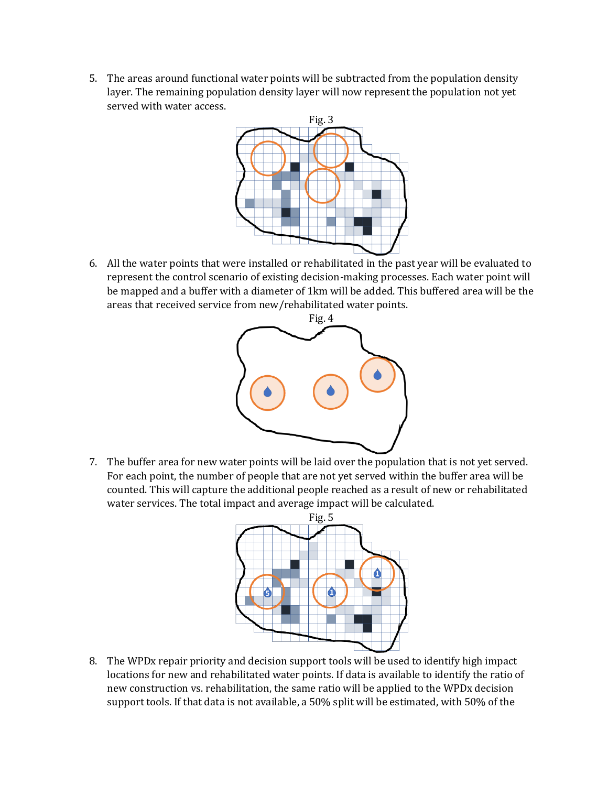5. The areas around functional water points will be subtracted from the population density layer. The remaining population density layer will now represent the population not yet served with water access.



6. All the water points that were installed or rehabilitated in the past year will be evaluated to represent the control scenario of existing decision-making processes. Each water point will be mapped and a buffer with a diameter of 1km will be added. This buffered area will be the areas that received service from new/rehabilitated water points.



7. The buffer area for new water points will be laid over the population that is not yet served. For each point, the number of people that are not yet served within the buffer area will be counted. This will capture the additional people reached as a result of new or rehabilitated water services. The total impact and average impact will be calculated.



8. The WPDx repair priority and decision support tools will be used to identify high impact locations for new and rehabilitated water points. If data is available to identify the ratio of new construction vs. rehabilitation, the same ratio will be applied to the WPDx decision support tools. If that data is not available, a 50% split will be estimated, with 50% of the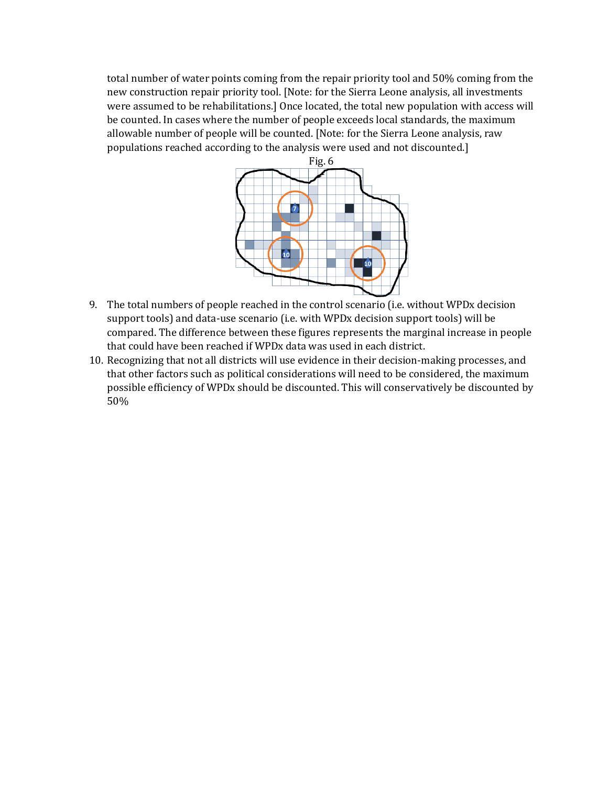total number of water points coming from the repair priority tool and 50% coming from the new construction repair priority tool. [Note: for the Sierra Leone analysis, all investments were assumed to be rehabilitations.] Once located, the total new population with access will be counted. In cases where the number of people exceeds local standards, the maximum allowable number of people will be counted. [Note: for the Sierra Leone analysis, raw populations reached according to the analysis were used and not discounted.]



- 9. The total numbers of people reached in the control scenario (i.e. without WPDx decision support tools) and data-use scenario (i.e. with WPDx decision support tools) will be compared. The difference between these figures represents the marginal increase in people that could have been reached if WPDx data was used in each district.
- 10. Recognizing that not all districts will use evidence in their decision-making processes, and that other factors such as political considerations will need to be considered, the maximum possible efficiency of WPDx should be discounted. This will conservatively be discounted by 50%